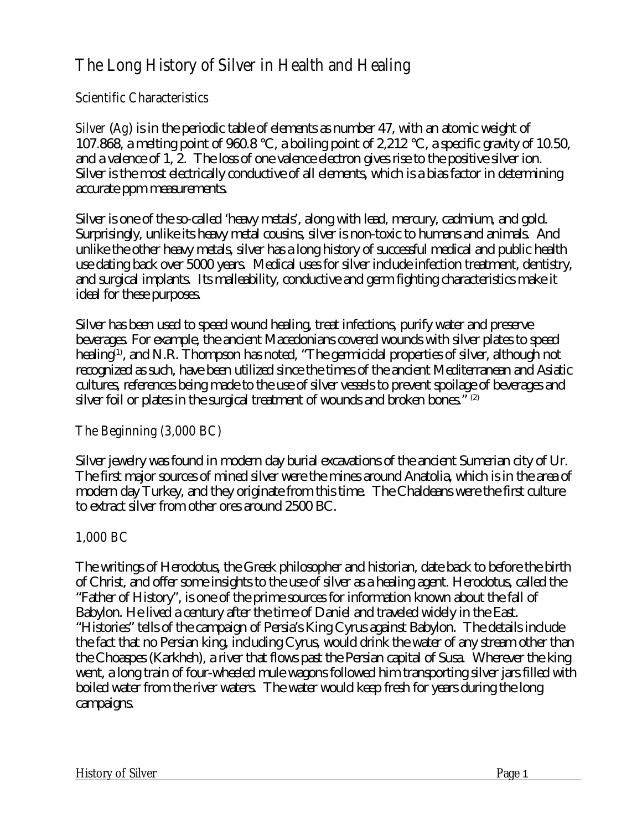# **The Long History of Silver in Health and Healing**

## **Scientific Characteristics**

**Silver** (**Ag**) is in the periodic table of elements as number 47, with an atomic weight of 107.868, a melting point of 960.8 °C, a boiling point of 2,212 °C, a specific gravity of 10.50, and a valence of 1, 2. The loss of one valence electron gives rise to the positive silver ion. Silver is the most electrically conductive of all elements, which is a bias factor in determining accurate ppm measurements.

Silver is one of the so-called 'heavy metals', along with lead, mercury, cadmium, and gold. Surprisingly, unlike its heavy metal cousins, silver is non-toxic to humans and animals. And unlike the other heavy metals, silver has a long history of successful medical and public health use dating back over 5000 years. Medical uses for silver include infection treatment, dentistry, and surgical implants. Its malleability, conductive and germ fighting characteristics make it ideal for these purposes.

Silver has been used to speed wound healing, treat infections, purify water and preserve beverages. For example, the ancient Macedonians covered wounds with silver plates to speed healing<sup>(1)</sup>, and N.R. Thompson has noted, "The germicidal properties of silver, although not recognized as such, have been utilized since the times of the ancient Mediterranean and Asiatic cultures, references being made to the use of silver vessels to prevent spoilage of beverages and silver foil or plates in the surgical treatment of wounds and broken bones." (2)

## **The Beginning (3,000 BC)**

Silver jewelry was found in modern day burial excavations of the ancient Sumerian city of Ur. The first major sources of mined silver were the mines around Anatolia, which is in the area of modern day Turkey, and they originate from this time. The Chaldeans were the first culture to extract silver from other ores around 2500 BC.

# **1,000 BC**

The writings of Herodotus, the Greek philosopher and historian, date back to before the birth of Christ, and offer some insights to the use of silver as a healing agent. Herodotus, called the "Father of History", is one of the prime sources for information known about the fall of Babylon. He lived a century after the time of Daniel and traveled widely in the East. "Histories" tells of the campaign of Persia's King Cyrus against Babylon. The details include the fact that no Persian king, including Cyrus, would drink the water of any stream other than the Choaspes (Karkheh), a river that flows past the Persian capital of Susa. Wherever the king went, a long train of four-wheeled mule wagons followed him transporting silver jars filled with boiled water from the river waters. The water would keep fresh for years during the long campaigns.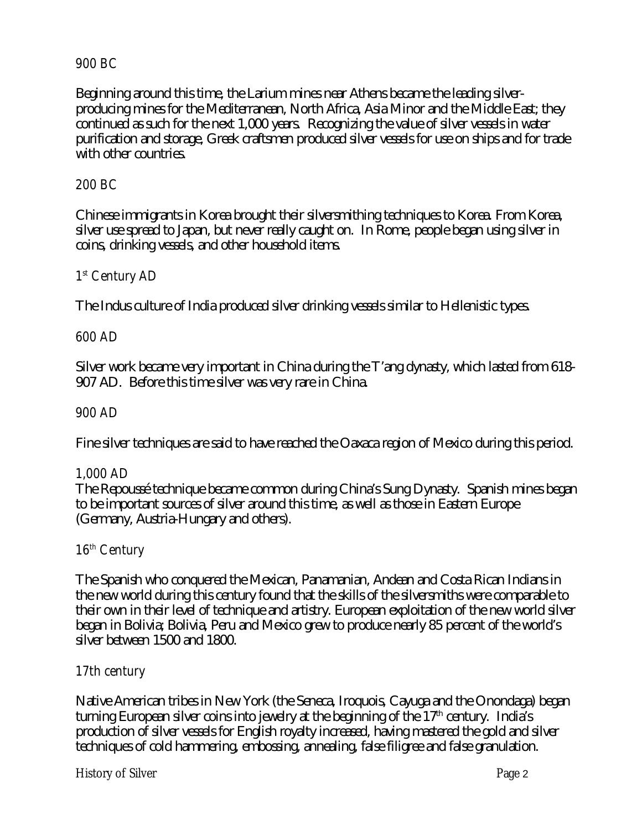#### **900 BC**

Beginning around this time, the Larium mines near Athens became the leading silverproducing mines for the Mediterranean, North Africa, Asia Minor and the Middle East; they continued as such for the next 1,000 years. Recognizing the value of silver vessels in water purification and storage, Greek craftsmen produced silver vessels for use on ships and for trade with other countries.

#### **200 BC**

Chinese immigrants in Korea brought their silversmithing techniques to Korea. From Korea, silver use spread to Japan, but never really caught on. In Rome, people began using silver in coins, drinking vessels, and other household items.

## **1 st Century AD**

The Indus culture of India produced silver drinking vessels similar to Hellenistic types.

#### **600 AD**

Silver work became very important in China during the T'ang dynasty, which lasted from 618- 907 AD. Before this time silver was very rare in China.

#### **900 AD**

Fine silver techniques are said to have reached the Oaxaca region of Mexico during this period.

#### **1,000 AD**

The Repoussé technique became common during China's Sung Dynasty. Spanish mines began to be important sources of silver around this time, as well as those in Eastern Europe (Germany, Austria-Hungary and others).

#### **16th Century**

The Spanish who conquered the Mexican, Panamanian, Andean and Costa Rican Indians in the new world during this century found that the skills of the silversmiths were comparable to their own in their level of technique and artistry. European exploitation of the new world silver began in Bolivia; Bolivia, Peru and Mexico grew to produce nearly 85 percent of the world's silver between 1500 and 1800.

#### **17th century**

Native American tribes in New York (the Seneca, Iroquois, Cayuga and the Onondaga) began turning European silver coins into jewelry at the beginning of the 17<sup>th</sup> century. India's production of silver vessels for English royalty increased, having mastered the gold and silver techniques of cold hammering, embossing, annealing, false filigree and false granulation.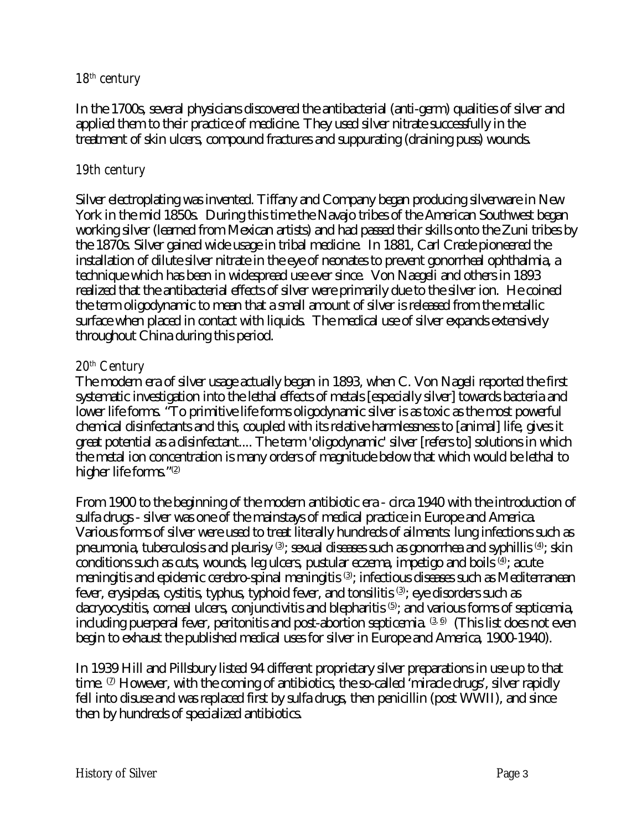#### **18th century**

In the 1700s, several physicians discovered the antibacterial (anti-germ) qualities of silver and applied them to their practice of medicine. They used silver nitrate successfully in the treatment of skin ulcers, compound fractures and suppurating (draining puss) wounds.

#### **19th century**

Silver electroplating was invented. Tiffany and Company began producing silverware in New York in the mid 1850s. During this time the Navajo tribes of the American Southwest began working silver (learned from Mexican artists) and had passed their skills onto the Zuni tribes by the 1870s. Silver gained wide usage in tribal medicine. In 1881, Carl Crede pioneered the installation of dilute silver nitrate in the eye of neonates to prevent gonorrheal ophthalmia, a technique which has been in widespread use ever since. Von Naegeli and others in 1893 realized that the antibacterial effects of silver were primarily due to the silver ion. He coined the term oligodynamic to mean that a small amount of silver is released from the metallic surface when placed in contact with liquids. The medical use of silver expands extensively throughout China during this period.

#### **20th Century**

The modern era of silver usage actually began in 1893, when C. Von Nageli reported the first systematic investigation into the lethal effects of metals [especially silver] towards bacteria and lower life forms. "To primitive life forms oligodynamic silver is as toxic as the most powerful chemical disinfectants and this, coupled with its relative harmlessness to [animal] life, gives it great potential as a disinfectant.... The term 'oligodynamic' silver [refers to] solutions in which the metal ion concentration is many orders of magnitude below that which would be lethal to higher life forms."<sup>(2)</sup>

From 1900 to the beginning of the modern antibiotic era - circa 1940 with the introduction of sulfa drugs - silver was one of the mainstays of medical practice in Europe and America. Various forms of silver were used to treat literally hundreds of ailments: lung infections such as pneumonia, tuberculosis and pleurisy  $^{\scriptscriptstyle{(3)}}$ ; sexual diseases such as gonorrhea and syphillis  $^{\scriptscriptstyle{(4)}}$ ; skin conditions such as cuts, wounds, leg ulcers, pustular eczema, impetigo and boils  $\stackrel{\text{{\tiny (4)}}}{=}$ ; acute meningitis and epidemic cerebro-spinal meningitis  $^{\text{\tiny (3)}}$ ; infectious diseases such as Mediterranean fever, erysipelas, cystitis, typhus, typhoid fever, and tonsilitis  $^{\scriptsize{(3)}}$ ; eye disorders such as dacryocystitis, corneal ulcers, conjunctivitis and blepharitis  $\mathfrak{S}$ ; and various forms of septicemia, including puerperal fever, peritonitis and post-abortion septicemia.  $^{\text{\tiny (3.6)}}$  (This list does not even begin to exhaust the published medical uses for silver in Europe and America, 1900-1940).

In 1939 Hill and Pillsbury listed 94 different proprietary silver preparations in use up to that time.  $^\mathrm{\scriptscriptstyle{(2)}}$  However, with the coming of antibiotics, the so-called 'miracle drugs', silver rapidly fell into disuse and was replaced first by sulfa drugs, then penicillin (post WWII), and since then by hundreds of specialized antibiotics.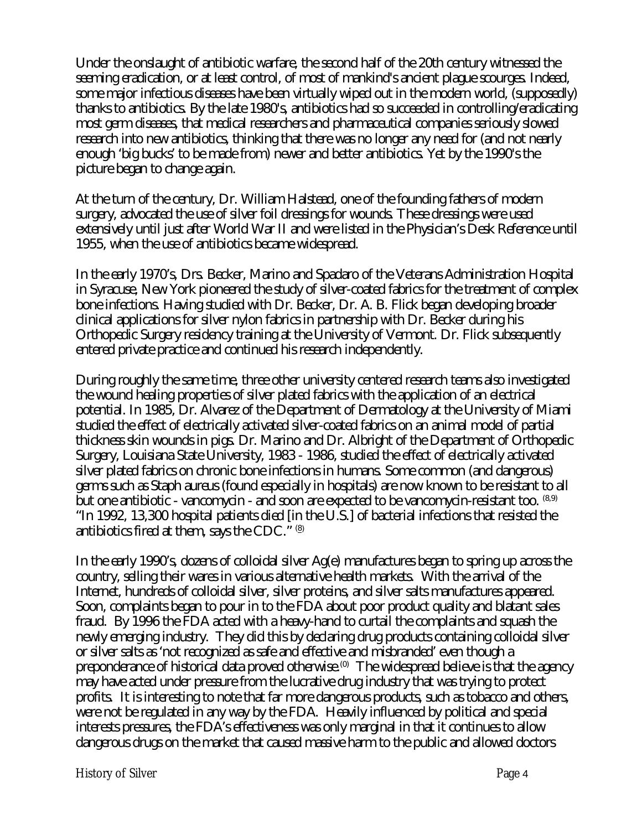Under the onslaught of antibiotic warfare, the second half of the 20th century witnessed the seeming eradication, or at least control, of most of mankind's ancient plague scourges. Indeed, some major infectious diseases have been virtually wiped out in the modern world, (supposedly) thanks to antibiotics. By the late 1980's, antibiotics had so succeeded in controlling/eradicating most germ diseases, that medical researchers and pharmaceutical companies seriously slowed research into new antibiotics, thinking that there was no longer any need for (and not nearly enough 'big bucks' to be made from) newer and better antibiotics. Yet by the 1990's the picture began to change again.

At the turn of the century, Dr. William Halstead, one of the founding fathers of modern surgery, advocated the use of silver foil dressings for wounds. These dressings were used extensively until just after World War II and were listed in the Physician's Desk Reference until 1955, when the use of antibiotics became widespread.

In the early 1970's, Drs. Becker, Marino and Spadaro of the Veterans Administration Hospital in Syracuse, New York pioneered the study of silver-coated fabrics for the treatment of complex bone infections. Having studied with Dr. Becker, Dr. A. B. Flick began developing broader clinical applications for silver nylon fabrics in partnership with Dr. Becker during his Orthopedic Surgery residency training at the University of Vermont. Dr. Flick subsequently entered private practice and continued his research independently.

During roughly the same time, three other university centered research teams also investigated the wound healing properties of silver plated fabrics with the application of an electrical potential. In 1985, Dr. Alvarez of the Department of Dermatology at the University of Miami studied the effect of electrically activated silver-coated fabrics on an animal model of partial thickness skin wounds in pigs. Dr. Marino and Dr. Albright of the Department of Orthopedic Surgery, Louisiana State University, 1983 - 1986, studied the effect of electrically activated silver plated fabrics on chronic bone infections in humans. Some common (and dangerous) germs such as Staph aureus (found especially in hospitals) are now known to be resistant to all but one antibiotic - vancomycin - and soon are expected to be vancomycin-resistant too. <sup>(8,9)</sup> "In 1992, 13,300 hospital patients died [in the U.S.] of bacterial infections that resisted the antibiotics fired at them, says the CDC."  $@$ 

In the early 1990's, dozens of colloidal silver Ag(e) manufactures began to spring up across the country, selling their wares in various alternative health markets. With the arrival of the Internet, hundreds of colloidal silver, silver proteins, and silver salts manufactures appeared. Soon, complaints began to pour in to the FDA about poor product quality and blatant sales fraud. By 1996 the FDA acted with a heavy-hand to curtail the complaints and squash the newly emerging industry. They did this by declaring drug products containing colloidal silver or silver salts as 'not recognized as safe and effective and misbranded' even though a preponderance of historical data proved otherwise.<sup>(0)</sup> The widespread believe is that the agency may have acted under pressure from the lucrative drug industry that was trying to protect profits. It is interesting to note that far more dangerous products, such as tobacco and others, were not be regulated in any way by the FDA. Heavily influenced by political and special interests pressures, the FDA's effectiveness was only marginal in that it continues to allow dangerous drugs on the market that caused massive harm to the public and allowed doctors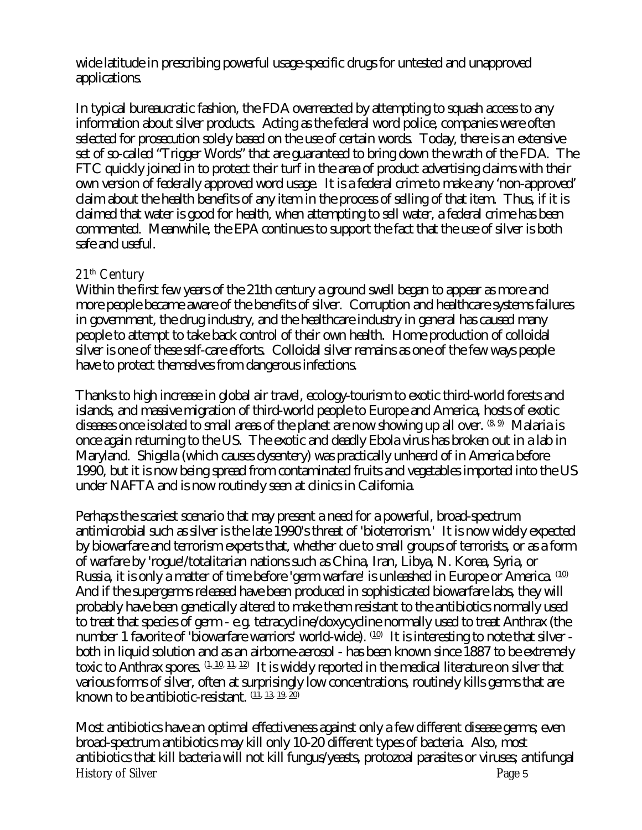wide latitude in prescribing powerful usage-specific drugs for untested and unapproved applications.

In typical bureaucratic fashion, the FDA overreacted by attempting to squash access to any information about silver products. Acting as the federal word police, companies were often selected for prosecution solely based on the use of certain words. Today, there is an extensive set of so-called "Trigger Words" that are guaranteed to bring down the wrath of the FDA. The FTC quickly joined in to protect their turf in the area of product advertising claims with their own version of federally approved word usage. It is a federal crime to make any 'non-approved' claim about the health benefits of any item in the process of selling of that item. Thus, if it is claimed that water is good for health, when attempting to sell water, a federal crime has been commented. Meanwhile, the EPA continues to support the fact that the use of silver is both safe and useful.

## **21th Century**

Within the first few years of the 21th century a ground swell began to appear as more and more people became aware of the benefits of silver. Corruption and healthcare systems failures in government, the drug industry, and the healthcare industry in general has caused many people to attempt to take back control of their own health. Home production of colloidal silver is one of these self-care efforts. Colloidal silver remains as one of the few ways people have to protect themselves from dangerous infections.

Thanks to high increase in global air travel, ecology-tourism to exotic third-world forests and islands, and massive migration of third-world people to Europe and America, hosts of exotic diseases once isolated to small areas of the planet are now showing up all over.  $^{(\underline{8},\,\underline{9})}$  Malaria is once again returning to the US. The exotic and deadly Ebola virus has broken out in a lab in Maryland. Shigella (which causes dysentery) was practically unheard of in America before 1990, but it is now being spread from contaminated fruits and vegetables imported into the US under NAFTA and is now routinely seen at clinics in California.

Perhaps the scariest scenario that may present a need for a powerful, broad-spectrum antimicrobial such as silver is the late 1990's threat of 'bioterrorism.' It is now widely expected by biowarfare and terrorism experts that, whether due to small groups of terrorists, or as a form of warfare by 'rogue'/totalitarian nations such as China, Iran, Libya, N. Korea, Syria, or Russia, it is only a matter of time before 'germ warfare' is unleashed in Europe or America. (10) And if the supergerms released have been produced in sophisticated biowarfare labs, they will probably have been genetically altered to make them resistant to the antibiotics normally used to treat that species of germ - e.g. tetracycline/doxycycline normally used to treat Anthrax (the number 1 favorite of 'biowarfare warriors' world-wide).  $^{(10)}$  It is interesting to note that silver both in liquid solution and as an airborne-aerosol - has been known since 1887 to be extremely toxic to Anthrax spores.  $\frac{(1,10,11,12)}{2}$  It is widely reported in the medical literature on silver that various forms of silver, often at surprisingly low concentrations, routinely kills germs that are known to be antibiotic-resistant.  $(11, 13, 19, 20)$ 

Most antibiotics have an optimal effectiveness against only a few different disease germs; even broad-spectrum antibiotics may kill only 10-20 different types of bacteria. Also, most antibiotics that kill bacteria will not kill fungus/yeasts, protozoal parasites or viruses; antifungal History of Silver Page 5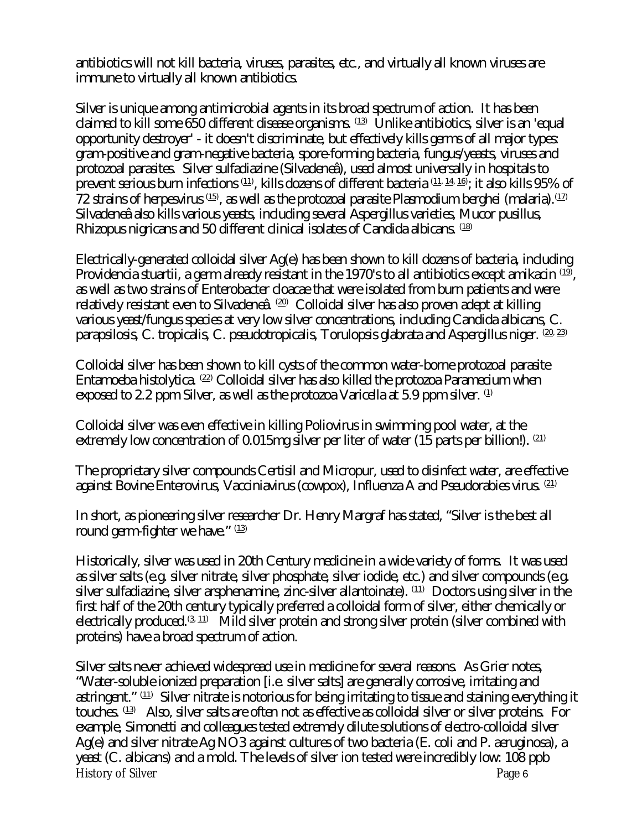antibiotics will not kill bacteria, viruses, parasites, etc., and virtually all known viruses are immune to virtually all known antibiotics.

Silver is unique among antimicrobial agents in its broad spectrum of action. It has been claimed to kill some 650 different disease organisms.  $\overset{(13)}{ }$  Unlike antibiotics, silver is an 'equal opportunity destroyer' - it doesn't discriminate, but effectively kills germs of all major types: gram-positive and gram-negative bacteria, spore-forming bacteria, fungus/yeasts, viruses and protozoal parasites. Silver sulfadiazine (Silvadeneâ), used almost universally in hospitals to prevent serious burn infections  $^{\rm (11)}$ , kills dozens of different bacteria  $^{\rm (11,~14,~16)}$ ; it also kills 95% of  $72$  strains of herpesvirus  $\scriptstyle{{\scriptstyle (15)}}$ , as well as the protozoal parasite Plasmodium berghei (malaria). $\scriptstyle{{(17)}}$ Silvadeneâ also kills various yeasts, including several Aspergillus varieties, Mucor pusillus, Rhizopus nigricans and 50 different clinical isolates of Candida albicans. (18)

Electrically-generated colloidal silver Ag(e) has been shown to kill dozens of bacteria, including Providencia stuartii, a germ already resistant in the 1970's to all antibiotics except amikacin  $^{\textrm{\tiny (19)}}$ , as well as two strains of Enterobacter cloacae that were isolated from burn patients and were relatively resistant even to Silvadeneâ.    $^{\text{\tiny (20)}}$   $\,$  Colloidal silver has also proven adept at killing various yeast/fungus species at very low silver concentrations, including Candida albicans, C. parapsilosis, C. tropicalis, C. pseudotropicalis, Torulopsis glabrata and Aspergillus niger.  $(20, 23)$ 

Colloidal silver has been shown to kill cysts of the common water-borne protozoal parasite Entamoeba histolytica.  $^{(22)}$  Colloidal silver has also killed the protozoa Paramecium when exposed to 2.2 ppm Silver, as well as the protozoa Varicella at 5.9 ppm silver.  $\Phi$ 

Colloidal silver was even effective in killing Poliovirus in swimming pool water, at the extremely low concentration of 0.015mg silver per liter of water (15 parts per billion!).  $(21)$ 

The proprietary silver compounds Certisil and Micropur, used to disinfect water, are effective against Bovine Enterovirus, Vacciniavirus (cowpox), Influenza A and Pseudorabies virus.  $(21)$ 

In short, as pioneering silver researcher Dr. Henry Margraf has stated, "Silver is the best all round germ-fighter we have." (13)

Historically, silver was used in 20th Century medicine in a wide variety of forms. It was used as silver salts (e.g. silver nitrate, silver phosphate, silver iodide, etc.) and silver compounds (e.g. silver sulfadiazine, silver arsphenamine, zinc-silver allantoinate).  $^{(11)}$   $\,$   $\rm{Doctors}$  using silver in the first half of the 20th century typically preferred a colloidal form of silver, either chemically or electrically produced. $^{(3,\,11)}$   $\,$  Mild silver protein and strong silver protein (silver combined with proteins) have a broad spectrum of action.

Silver salts never achieved widespread use in medicine for several reasons. As Grier notes, "Water-soluble ionized preparation [i.e. silver salts] are generally corrosive, irritating and astringent."  $^{\rm (11)}$  Silver nitrate is notorious for being irritating to tissue and staining everything it touches.  $^{(13)}$  Also, silver salts are often not as effective as colloidal silver or silver proteins. For example, Simonetti and colleagues tested extremely dilute solutions of electro-colloidal silver Ag(e) and silver nitrate Ag NO3 against cultures of two bacteria (E. coli and P. aeruginosa), a yeast (C. albicans) and a mold. The levels of silver ion tested were incredibly low: 108 ppb History of Silver Page 6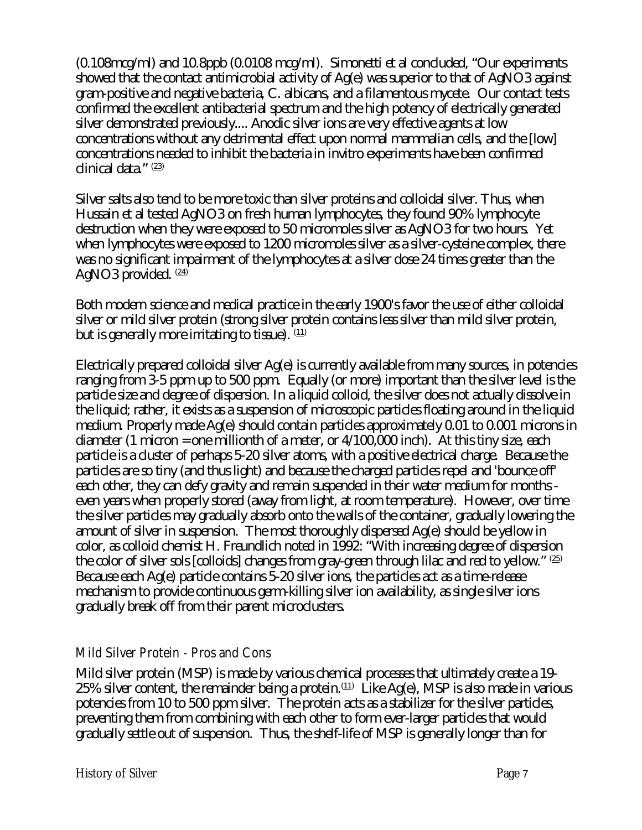(0.108mcg/ml) and 10.8ppb (0.0108 mcg/ml). Simonetti et al concluded, "Our experiments showed that the contact antimicrobial activity of Ag(e) was superior to that of AgNO3 against gram-positive and negative bacteria, C. albicans, and a filamentous mycete. Our contact tests confirmed the excellent antibacterial spectrum and the high potency of electrically generated silver demonstrated previously.... Anodic silver ions are very effective agents at low concentrations without any detrimental effect upon normal mammalian cells, and the [low] concentrations needed to inhibit the bacteria in invitro experiments have been confirmed clinical data." (23)

Silver salts also tend to be more toxic than silver proteins and colloidal silver. Thus, when Hussain et al tested AgNO3 on fresh human lymphocytes, they found 90% lymphocyte destruction when they were exposed to 50 micromoles silver as AgNO3 for two hours. Yet when lymphocytes were exposed to 1200 micromoles silver as a silver-cysteine complex, there was no significant impairment of the lymphocytes at a silver dose 24 times greater than the AgNO3 provided.  $(24)$ 

Both modern science and medical practice in the early 1900's favor the use of either colloidal silver or mild silver protein (strong silver protein contains less silver than mild silver protein, but is generally more irritating to tissue).  $(11)$ 

Electrically prepared colloidal silver Ag(e) is currently available from many sources, in potencies ranging from 3-5 ppm up to 500 ppm. Equally (or more) important than the silver level is the particle size and degree of dispersion. In a liquid colloid, the silver does not actually dissolve in the liquid; rather, it exists as a suspension of microscopic particles floating around in the liquid medium. Properly made Ag(e) should contain particles approximately 0.01 to 0.001 microns in diameter (1 micron = one millionth of a meter, or 4/100,000 inch). At this tiny size, each particle is a cluster of perhaps 5-20 silver atoms, with a positive electrical charge. Because the particles are so tiny (and thus light) and because the charged particles repel and 'bounce off' each other, they can defy gravity and remain suspended in their water medium for months even years when properly stored (away from light, at room temperature). However, over time the silver particles may gradually absorb onto the walls of the container, gradually lowering the amount of silver in suspension. The most thoroughly dispersed Ag(e) should be yellow in color, as colloid chemist H. Freundlich noted in 1992: "With increasing degree of dispersion the color of silver sols [colloids] changes from gray-green through lilac and red to yellow."  $(25)$ Because each Ag(e) particle contains 5-20 silver ions, the particles act as a time-release mechanism to provide continuous germ-killing silver ion availability, as single silver ions gradually break off from their parent microclusters.

## **Mild Silver Protein - Pros and Cons**

Mild silver protein (MSP) is made by various chemical processes that ultimately create a 19-  $25\%$  silver content, the remainder being a protein. $\overset{(11)}{ }$  Like Ag(e), MSP is also made in various potencies from 10 to 500 ppm silver. The protein acts as a stabilizer for the silver particles, preventing them from combining with each other to form ever-larger particles that would gradually settle out of suspension. Thus, the shelf-life of MSP is generally longer than for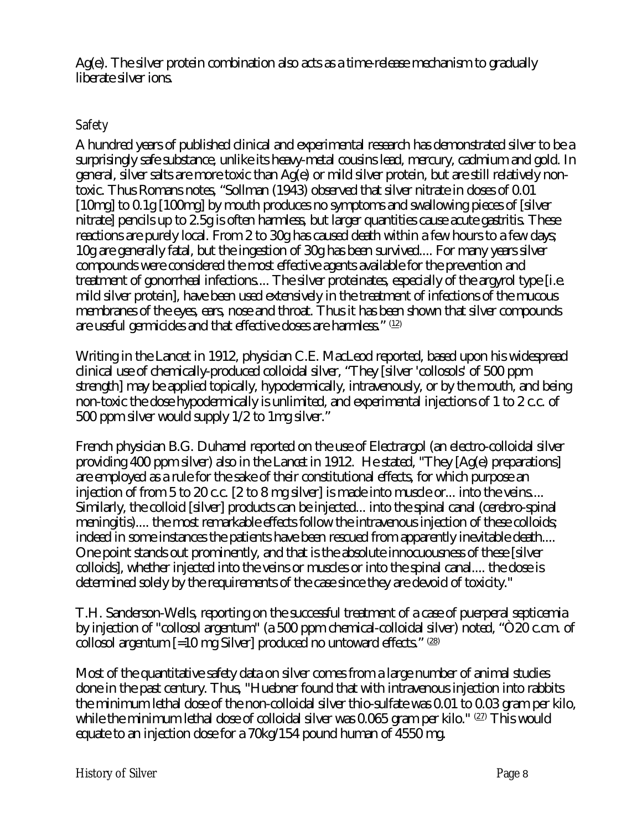Ag(e). The silver protein combination also acts as a time-release mechanism to gradually liberate silver ions.

# **Safety**

A hundred years of published clinical and experimental research has demonstrated silver to be a surprisingly safe substance, unlike its heavy-metal cousins lead, mercury, cadmium and gold. In general, silver salts are more toxic than Ag(e) or mild silver protein, but are still relatively nontoxic. Thus Romans notes, "Sollman (1943) observed that silver nitrate in doses of 0.01 [10mg] to 0.1g [100mg] by mouth produces no symptoms and swallowing pieces of [silver nitrate] pencils up to 2.5g is often harmless, but larger quantities cause acute gastritis. These reactions are purely local. From 2 to 30g has caused death within a few hours to a few days; 10g are generally fatal, but the ingestion of 30g has been survived.... For many years silver compounds were considered the most effective agents available for the prevention and treatment of gonorrheal infections.... The silver proteinates, especially of the argyrol type [i.e. mild silver protein], have been used extensively in the treatment of infections of the mucous membranes of the eyes, ears, nose and throat. Thus it has been shown that silver compounds are useful germicides and that effective doses are harmless." (12)

Writing in the Lancet in 1912, physician C.E. MacLeod reported, based upon his widespread clinical use of chemically-produced colloidal silver, "They [silver 'collosols' of 500 ppm strength] may be applied topically, hypodermically, intravenously, or by the mouth, and being non-toxic the dose hypodermically is unlimited, and experimental injections of 1 to 2 c.c. of 500 ppm silver would supply 1/2 to 1mg silver."

French physician B.G. Duhamel reported on the use of Electrargol (an electro-colloidal silver providing 400 ppm silver) also in the *Lancet* in 1912. He stated, "They [Ag(e) preparations] are employed as a rule for the sake of their constitutional effects, for which purpose an injection of from 5 to 20 c.c. [2 to 8 mg silver] is made into muscle or... into the veins.... Similarly, the colloid [silver] products can be injected... into the spinal canal (cerebro-spinal meningitis).... the most remarkable effects follow the intravenous injection of these colloids; indeed in some instances the patients have been rescued from apparently inevitable death.... One point stands out prominently, and that is the absolute innocuousness of these [silver colloids], whether injected into the veins or muscles or into the spinal canal.... the dose is determined solely by the requirements of the case since they are devoid of toxicity."

T.H. Sanderson-Wells, reporting on the successful treatment of a case of puerperal septicemia by injection of "collosol argentum" (a 500 ppm chemical-colloidal silver) noted, "Ò20 c.cm. of collosol argentum  $\left[-10 \text{ mg Silver}\right]$  produced no untoward effects." (28)

Most of the quantitative safety data on silver comes from a large number of animal studies done in the past century. Thus, "Huebner found that with intravenous injection into rabbits the minimum lethal dose of the non-colloidal silver thio-sulfate was 0.01 to 0.03 gram per kilo, while the minimum lethal dose of colloidal silver was 0.065 gram per kilo."  $^{\textrm{\tiny{(22)}}}$  This would equate to an injection dose for a 70kg/154 pound human of 4550 mg.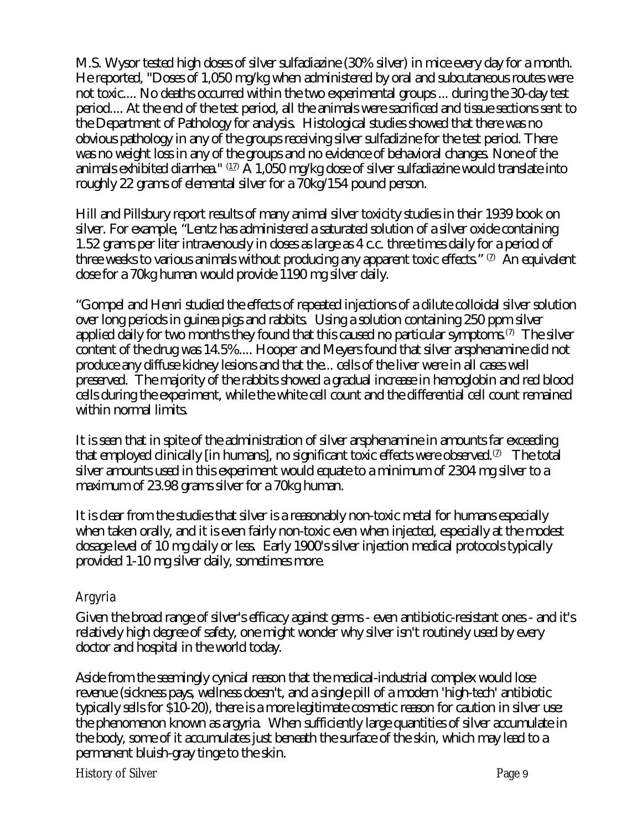M.S. Wysor tested high doses of silver sulfadiazine (30% silver) in mice every day for a month. He reported, "Doses of 1,050 mg/kg when administered by oral and subcutaneous routes were not toxic.... No deaths occurred within the two experimental groups ... during the 30-day test period.... At the end of the test period, all the animals were sacrificed and tissue sections sent to the Department of Pathology for analysis. Histological studies showed that there was no obvious pathology in any of the groups receiving silver sulfadizine for the test period. There was no weight loss in any of the groups and no evidence of behavioral changes. None of the animals exhibited diarrhea."  $^{\textrm{\tiny (12)}}$  A 1,050 mg/kg dose of silver sulfadiazine would translate into roughly 22 grams of elemental silver for a 70kg/154 pound person.

Hill and Pillsbury report results of many animal silver toxicity studies in their 1939 book on silver. For example, "Lentz has administered a saturated solution of a silver oxide containing 1.52 grams per liter intravenously in doses as large as 4 c.c. three times daily for a period of three weeks to various animals without producing any apparent toxic effects."  $^\mathrm{(7)}$  An equivalent dose for a 70kg human would provide 1190 mg silver daily.

"Gompel and Henri studied the effects of repeated injections of a dilute colloidal silver solution over long periods in guinea pigs and rabbits. Using a solution containing 250 ppm silver applied daily for two months they found that this caused no particular symptoms.<sup>(7)</sup> The silver content of the drug was 14.5%.... Hooper and Meyers found that silver arsphenamine did not produce any diffuse kidney lesions and that the... cells of the liver were in all cases well preserved. The majority of the rabbits showed a gradual increase in hemoglobin and red blood cells during the experiment, while the white cell count and the differential cell count remained within normal limits.

It is seen that in spite of the administration of silver arsphenamine in amounts far exceeding that employed clinically [in humans], no significant toxic effects were observed. $^\mathrm{\scriptscriptstyle{(2)}}$   $\,$  The total silver amounts used in this experiment would equate to a minimum of 2304 mg silver to a maximum of 23.98 grams silver for a 70kg human.

It is clear from the studies that silver is a reasonably non-toxic metal for humans especially when taken orally, and it is even fairly non-toxic even when injected, especially at the modest dosage level of 10 mg daily or less. Early 1900's silver injection medical protocols typically provided 1-10 mg silver daily, sometimes more.

# **Argyria**

Given the broad range of silver's efficacy against germs - even antibiotic-resistant ones - and it's relatively high degree of safety, one might wonder why silver isn't routinely used by every doctor and hospital in the world today.

Aside from the seemingly cynical reason that the medical-industrial complex would lose revenue (sickness pays, wellness doesn't, and a single pill of a modern 'high-tech' antibiotic typically sells for \$10-20), there is a more legitimate cosmetic reason for caution in silver use: the phenomenon known as argyria. When sufficiently large quantities of silver accumulate in the body, some of it accumulates just beneath the surface of the skin, which may lead to a permanent bluish-gray tinge to the skin.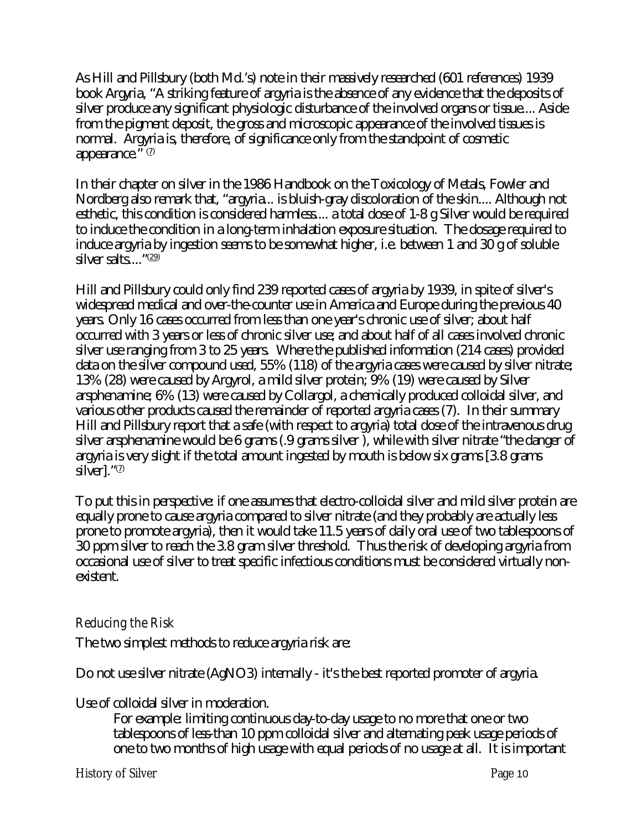As Hill and Pillsbury (both Md.'s) note in their massively researched (601 references) 1939 book *Argyria*, "A striking feature of argyria is the absence of any evidence that the deposits of silver produce any significant physiologic disturbance of the involved organs or tissue.... Aside from the pigment deposit, the gross and microscopic appearance of the involved tissues is normal. Argyria is, therefore, of significance only from the standpoint of cosmetic appearance." $(7)$ 

In their chapter on silver in the 1986 Handbook on the Toxicology of Metals, Fowler and Nordberg also remark that, "argyria... is bluish-gray discoloration of the skin.... Although not esthetic, this condition is considered harmless.... a total dose of 1-8 g Silver would be required to induce the condition in a long-term inhalation exposure situation. The dosage required to induce argyria by ingestion seems to be somewhat higher, i.e. between 1 and 30 g of soluble silver salts...."<sup>(29)</sup>

Hill and Pillsbury could only find 239 reported cases of argyria by 1939, in spite of silver's widespread medical and over-the-counter use in America and Europe during the previous 40 years. Only 16 cases occurred from less than one year's chronic use of silver; about half occurred with 3 years or less of chronic silver use; and about half of all cases involved chronic silver use ranging from 3 to 25 years. Where the published information (214 cases) provided data on the silver compound used, 55% (118) of the argyria cases were caused by silver nitrate; 13% (28) were caused by Argyrol, a mild silver protein; 9% (19) were caused by Silver arsphenamine; 6% (13) were caused by Collargol, a chemically produced colloidal silver, and various other products caused the remainder of reported argyria cases (7). In their summary Hill and Pillsbury report that a safe (with respect to argyria) total dose of the intravenous drug silver arsphenamine would be 6 grams (.9 grams silver ), while with silver nitrate "the danger of argyria is very slight if the total amount ingested by mouth is below six grams [3.8 grams silver]."<sup>(7)</sup>

To put this in perspective: if one assumes that electro-colloidal silver and mild silver protein are equally prone to cause argyria compared to silver nitrate (and they probably are actually less prone to promote argyria), then it would take 11.5 years of daily oral use of two tablespoons of 30 ppm silver to reach the 3.8 gram silver threshold. Thus the risk of developing argyria from occasional use of silver to treat specific infectious conditions must be considered virtually nonexistent.

## **Reducing the Risk**

The two simplest methods to reduce argyria risk are:

Do not use silver nitrate (AgNO3) internally - it's the best reported promoter of argyria.

Use of colloidal silver in moderation.

For example: limiting continuous day-to-day usage to no more that one or two tablespoons of less-than 10 ppm colloidal silver and alternating peak usage periods of one to two months of high usage with equal periods of no usage at all. It is important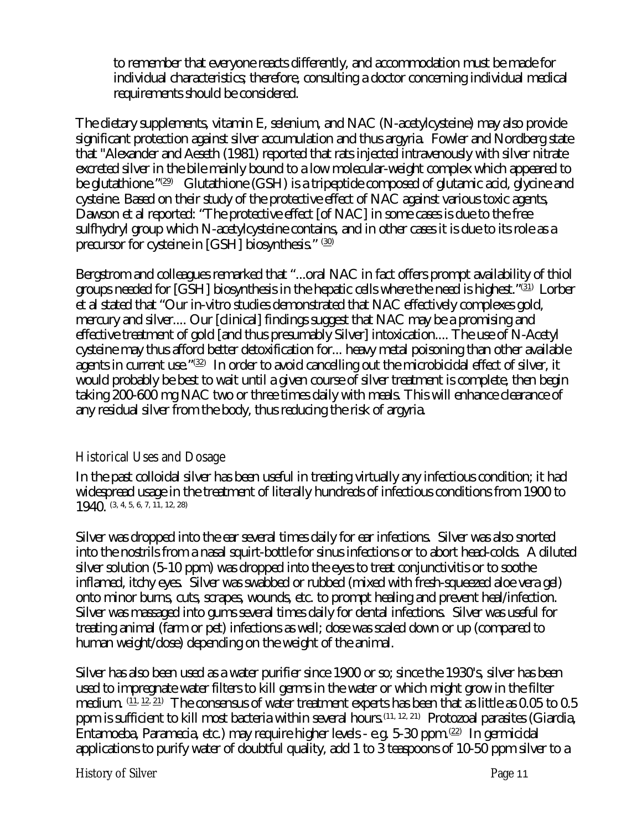to remember that everyone reacts differently, and accommodation must be made for individual characteristics; therefore, consulting a doctor concerning individual medical requirements should be considered.

The dietary supplements, vitamin E, selenium, and NAC (N-acetylcysteine) may also provide significant protection against silver accumulation and thus argyria. Fowler and Nordberg state that "Alexander and Aeseth (1981) reported that rats injected intravenously with silver nitrate excreted silver in the bile mainly bound to a low molecular-weight complex which appeared to be glutathione."⑵ Glutathione (GSH) is a tripeptide composed of glutamic acid, glycine and cysteine. Based on their study of the protective effect of NAC against various toxic agents, Dawson et al reported: "The protective effect [of NAC] in some cases is due to the free sulfhydryl group which N-acetylcysteine contains, and in other cases it is due to its role as a precursor for cysteine in [GSH] biosynthesis." (30)

Bergstrom and colleagues remarked that "...oral NAC in fact offers prompt availability of thiol groups needed for [GSH] biosynthesis in the hepatic cells where the need is highest."(31) Lorber et al stated that "Our in-vitro studies demonstrated that NAC effectively complexes gold, mercury and silver.... Our [clinical] findings suggest that NAC may be a promising and effective treatment of gold [and thus presumably Silver] intoxication.... The use of N-Acetyl cysteine may thus afford better detoxification for... heavy metal poisoning than other available agents in current use." $^{\textrm{\tiny{(32)}}}$  In order to avoid cancelling out the microbicidal effect of silver, it would probably be best to wait until a given course of silver treatment is complete, then begin taking 200-600 mg NAC two or three times daily with meals. This will enhance clearance of any residual silver from the body, thus reducing the risk of argyria.

## **Historical Uses and Dosage**

In the past colloidal silver has been useful in treating virtually any infectious condition; it had widespread usage in the treatment of literally hundreds of infectious conditions from 1900 to 1940. (3, 4, 5, 6, 7, 11, 12, 28)

Silver was dropped into the ear several times daily for ear infections. Silver was also snorted into the nostrils from a nasal squirt-bottle for sinus infections or to abort head-colds. A diluted silver solution (5-10 ppm) was dropped into the eyes to treat conjunctivitis or to soothe inflamed, itchy eyes. Silver was swabbed or rubbed (mixed with fresh-squeezed aloe vera gel) onto minor burns, cuts, scrapes, wounds, etc. to prompt healing and prevent heal/infection. Silver was massaged into gums several times daily for dental infections. Silver was useful for treating animal (farm or pet) infections as well; dose was scaled down or up (compared to human weight/dose) depending on the weight of the animal.

Silver has also been used as a water purifier since 1900 or so; since the 1930's, silver has been used to impregnate water filters to kill germs in the water or which might grow in the filter medium.  $\frac{(11, 12, 21)}{2}$  The consensus of water treatment experts has been that as little as 0.05 to 0.5 ppm is sufficient to kill most bacteria within several hours.(11, 12, 21) Protozoal parasites (Giardia, Entamoeba, Paramecia, etc.) may require higher levels - e.g. 5-30 ppm. (22) In germicidal applications to purify water of doubtful quality, add 1 to 3 teaspoons of 10-50 ppm silver to a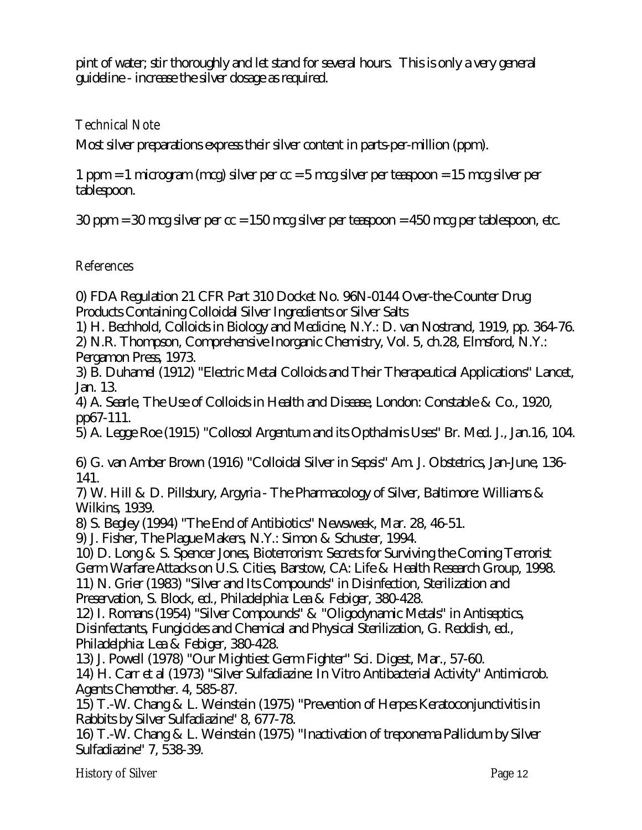pint of water; stir thoroughly and let stand for several hours. This is only a very general guideline - increase the silver dosage as required.

#### **Technical Note**

Most silver preparations express their silver content in parts-per-million (ppm).

1 ppm = 1 microgram (mcg) silver per cc = 5 mcg silver per teaspoon = 15 mcg silver per tablespoon.

30 ppm = 30 mcg silver per cc = 150 mcg silver per teaspoon = 450 mcg per tablespoon, etc.

#### **References**

0) FDA Regulation 21 CFR Part 310 Docket No. 96N-0144 Over-the-Counter Drug Products Containing Colloidal Silver Ingredients or Silver Salts

1) H. Bechhold, Colloids in Biology and Medicine, N.Y.: D. van Nostrand, 1919, pp. 364-76. 2) N.R. Thompson, Comprehensive Inorganic Chemistry, Vol. 5, ch.28, Elmsford, N.Y.: Pergamon Press, 1973.

3) B. Duhamel (1912) "Electric Metal Colloids and Their Therapeutical Applications" Lancet, Jan. 13.

4) A. Searle, The Use of Colloids in Health and Disease, London: Constable & Co., 1920, pp67-111.

5) A. Legge Roe (1915) "Collosol Argentum and its Opthalmis Uses" Br. Med. J., Jan.16, 104.

6) G. van Amber Brown (1916) "Colloidal Silver in Sepsis" Am. J. Obstetrics, Jan-June, 136- 141.

7) W. Hill & D. Pillsbury, Argyria - The Pharmacology of Silver, Baltimore: Williams & Wilkins, 1939.

8) S. Begley (1994) "The End of Antibiotics" Newsweek, Mar. 28, 46-51.

9) J. Fisher, The Plague Makers, N.Y.: Simon & Schuster, 1994.

10) D. Long & S. Spencer Jones, Bioterrorism: Secrets for Surviving the Coming Terrorist Germ Warfare Attacks on U.S. Cities, Barstow, CA: Life & Health Research Group, 1998. 11) N. Grier (1983) "Silver and Its Compounds" in Disinfection, Sterilization and Preservation, S. Block, ed., Philadelphia: Lea & Febiger, 380-428.

12) I. Romans (1954) "Silver Compounds" & "Oligodynamic Metals" in Antiseptics, Disinfectants, Fungicides and Chemical and Physical Sterilization, G. Reddish, ed., Philadelphia: Lea & Febiger, 380-428.

13) J. Powell (1978) "Our Mightiest Germ Fighter" Sci. Digest, Mar., 57-60.

14) H. Carr et al (1973) "Silver Sulfadiazine: In Vitro Antibacterial Activity" Antimicrob. Agents Chemother. 4, 585-87.

15) T.-W. Chang & L. Weinstein (1975) "Prevention of Herpes Keratoconjunctivitis in Rabbits by Silver Sulfadiazine" 8, 677-78.

16) T.-W. Chang & L. Weinstein (1975) "Inactivation of treponema Pallidum by Silver Sulfadiazine" 7, 538-39.